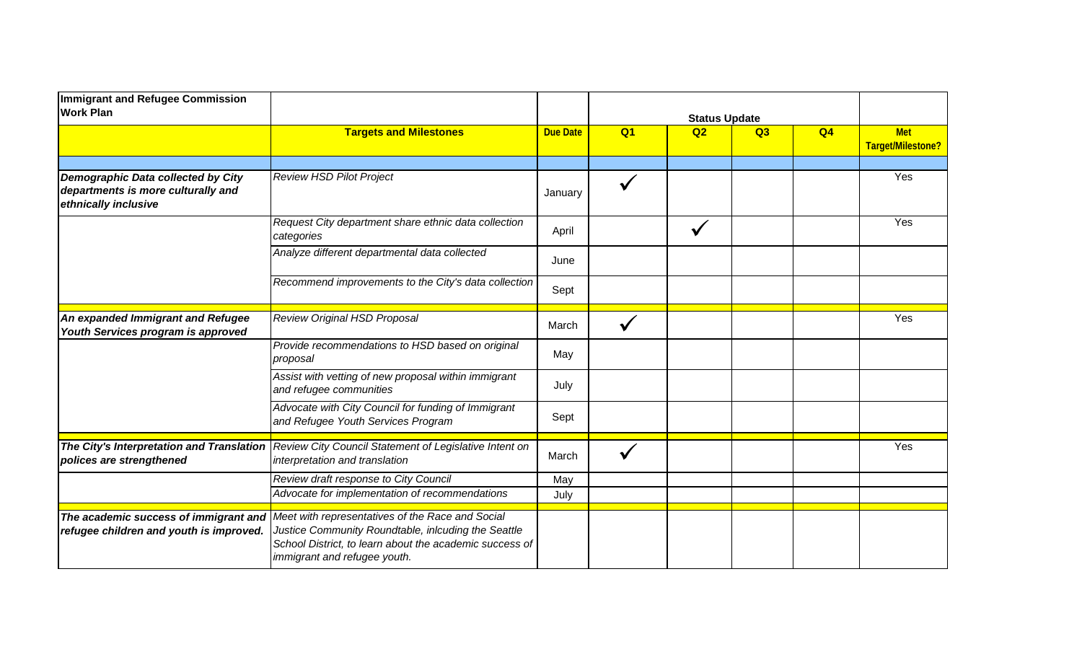| Immigrant and Refugee Commission<br><b>Work Plan</b>                                             | <b>Targets and Milestones</b>                                                                                                                                                                      | <b>Due Date</b> | <b>Status Update</b> |    |    |                |                                 |
|--------------------------------------------------------------------------------------------------|----------------------------------------------------------------------------------------------------------------------------------------------------------------------------------------------------|-----------------|----------------------|----|----|----------------|---------------------------------|
|                                                                                                  |                                                                                                                                                                                                    |                 | Q <sub>1</sub>       | Q2 | Q3 | Q <sub>4</sub> | <b>Met</b><br>Target/Milestone? |
| Demographic Data collected by City<br>departments is more culturally and<br>ethnically inclusive | <b>Review HSD Pilot Project</b>                                                                                                                                                                    | January         |                      |    |    |                | Yes                             |
|                                                                                                  | Request City department share ethnic data collection<br>categories                                                                                                                                 | April           |                      |    |    |                | Yes                             |
|                                                                                                  | Analyze different departmental data collected                                                                                                                                                      | June            |                      |    |    |                |                                 |
|                                                                                                  | Recommend improvements to the City's data collection                                                                                                                                               | Sept            |                      |    |    |                |                                 |
| An expanded Immigrant and Refugee<br>Youth Services program is approved                          | Review Original HSD Proposal                                                                                                                                                                       | March           |                      |    |    |                | Yes                             |
|                                                                                                  | Provide recommendations to HSD based on original<br>proposal                                                                                                                                       | May             |                      |    |    |                |                                 |
|                                                                                                  | Assist with vetting of new proposal within immigrant<br>and refugee communities                                                                                                                    | July            |                      |    |    |                |                                 |
|                                                                                                  | Advocate with City Council for funding of Immigrant<br>and Refugee Youth Services Program                                                                                                          | Sept            |                      |    |    |                |                                 |
| The City's Interpretation and Translation<br>polices are strengthened                            | Review City Council Statement of Legislative Intent on<br>interpretation and translation                                                                                                           | March           |                      |    |    |                | Yes                             |
|                                                                                                  | Review draft response to City Council<br>Advocate for implementation of recommendations                                                                                                            | May<br>July     |                      |    |    |                |                                 |
| The academic success of immigrant and<br>refugee children and youth is improved.                 | Meet with representatives of the Race and Social<br>Justice Community Roundtable, inlcuding the Seattle<br>School District, to learn about the academic success of<br>immigrant and refugee youth. |                 |                      |    |    |                |                                 |